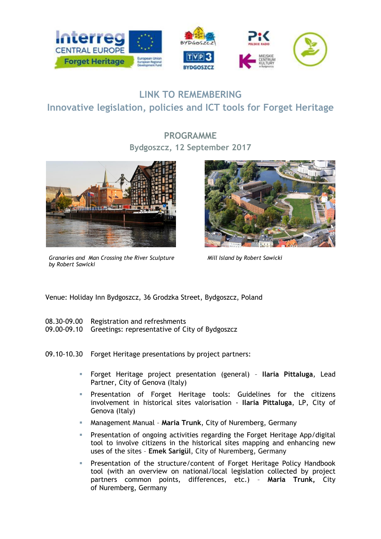

## **LINK TO REMEMBERING Innovative legislation, policies and ICT tools for Forget Heritage**

**PROGRAMME Bydgoszcz, 12 September 2017**



*Granaries and Man Crossing the River Sculpture by Robert Sawicki*



*Mill Island by Robert Sawicki*

Venue: Holiday Inn Bydgoszcz, 36 Grodzka Street, Bydgoszcz, Poland

- 08.30-09.00 Registration and refreshments
- 09.00-09.10 Greetings: representative of City of Bydgoszcz

09.10-10.30 Forget Heritage presentations by project partners:

- Forget Heritage project presentation (general) **Ilaria Pittaluga**, Lead Partner, City of Genova (Italy)
- **Presentation of Forget Heritage tools: Guidelines for the citizens** involvement in historical sites valorisation - **Ilaria Pittaluga**, LP, City of Genova (Italy)
- Management Manual **Maria Trunk**, City of Nuremberg, Germany
- Presentation of ongoing activities regarding the Forget Heritage App/digital tool to involve citizens in the historical sites mapping and enhancing new uses of the sites – **Emek Sarigül**, City of Nuremberg, Germany
- Presentation of the structure/content of Forget Heritage Policy Handbook tool (with an overview on national/local legislation collected by project partners common points, differences, etc.) – **Maria Trunk,** City of Nuremberg, Germany